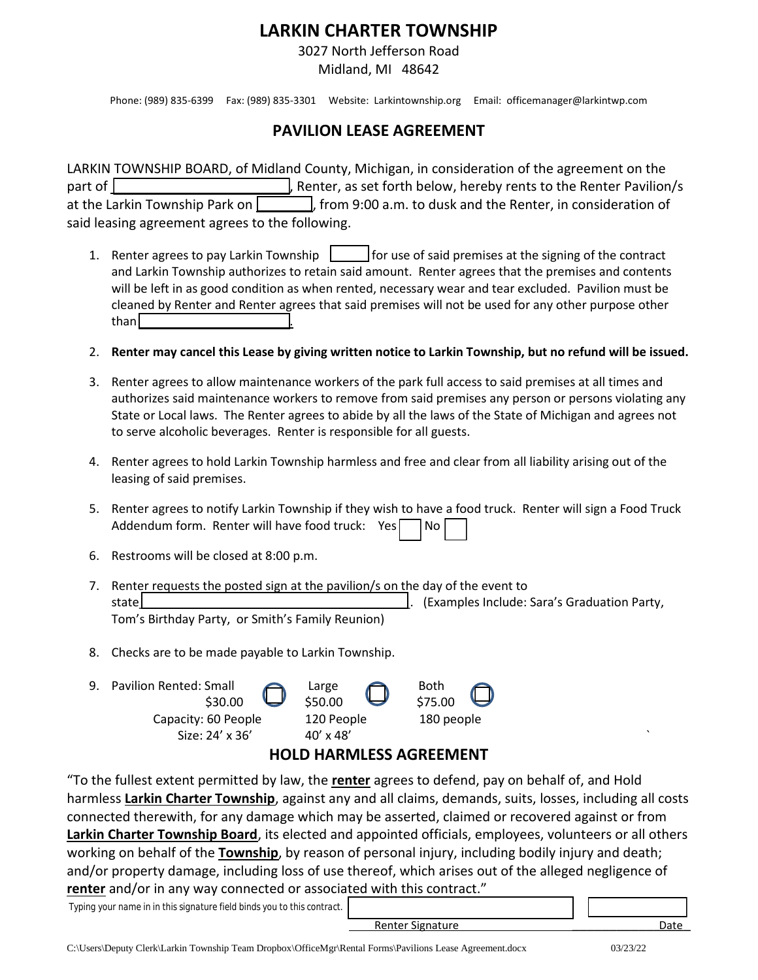## **LARKIN CHARTER TOWNSHIP**

3027 North Jefferson Road

Midland, MI 48642

Phone: (989) 835-6399 Fax: (989) 835-3301 Website: Larkintownship.org Email: officemanager@larkintwp.com

## **PAVILION LEASE AGREEMENT**

LARKIN TOWNSHIP BOARD, of Midland County, Michigan, in consideration of the agreement on the part of  $\lfloor$  and  $\lfloor$   $\rfloor$  , Renter, as set forth below, hereby rents to the Renter Pavilion/s at the Larkin Township Park on  $\sim$ , from 9:00 a.m. to dusk and the Renter, in consideration of said leasing agreement agrees to the following.

- 1. Renter agrees to pay Larkin Township  $\Box$  for use of said premises at the signing of the contract and Larkin Township authorizes to retain said amount. Renter agrees that the premises and contents will be left in as good condition as when rented, necessary wear and tear excluded. Pavilion must be cleaned by Renter and Renter agrees that said premises will not be used for any other purpose other than
- 2. **Renter may cancel this Lease by giving written notice to Larkin Township, but no refund will be issued.**
- 3. Renter agrees to allow maintenance workers of the park full access to said premises at all times and authorizes said maintenance workers to remove from said premises any person or persons violating any State or Local laws. The Renter agrees to abide by all the laws of the State of Michigan and agrees not to serve alcoholic beverages. Renter is responsible for all guests.
- 4. Renter agrees to hold Larkin Township harmless and free and clear from all liability arising out of the leasing of said premises.
- 5. Renter agrees to notify Larkin Township if they wish to have a food truck. Renter will sign a Food Truck Addendum form. Renter will have food truck: Yes $\Box$  No
- 6. Restrooms will be closed at 8:00 p.m.
- 7. Renter requests the posted sign at the pavilion/s on the day of the event to state\_\_\_\_\_\_\_\_\_\_\_\_\_\_\_\_\_\_\_\_\_\_\_\_\_\_\_\_\_\_\_\_\_\_\_\_\_\_\_\_. (Examples Include: Sara's Graduation Party, Tom's Birthday Party, or Smith's Family Reunion)
- 8. Checks are to be made payable to Larkin Township.



## **HOLD HARMLESS AGREEMENT**

"To the fullest extent permitted by law, the **renter** agrees to defend, pay on behalf of, and Hold harmless **Larkin Charter Township**, against any and all claims, demands, suits, losses, including all costs connected therewith, for any damage which may be asserted, claimed or recovered against or from **Larkin Charter Township Board**, its elected and appointed officials, employees, volunteers or all others working on behalf of the **Township**, by reason of personal injury, including bodily injury and death; and/or property damage, including loss of use thereof, which arises out of the alleged negligence of **renter** and/or in any way connected or associated with this contract."

 *Typing your name in in this signature field binds you to this contract.*

extending the state of the state of the state of the state of the Date of the Date of the Date of the Date of the Date of the Date of the Date of the Date of the Date of the Date of the Date of the Date of the Date of the

C:\Users\Deputy Clerk\Larkin Township Team Dropbox\OfficeMgr\Rental Forms\Pavilions Lease Agreement.docx 03/23/22